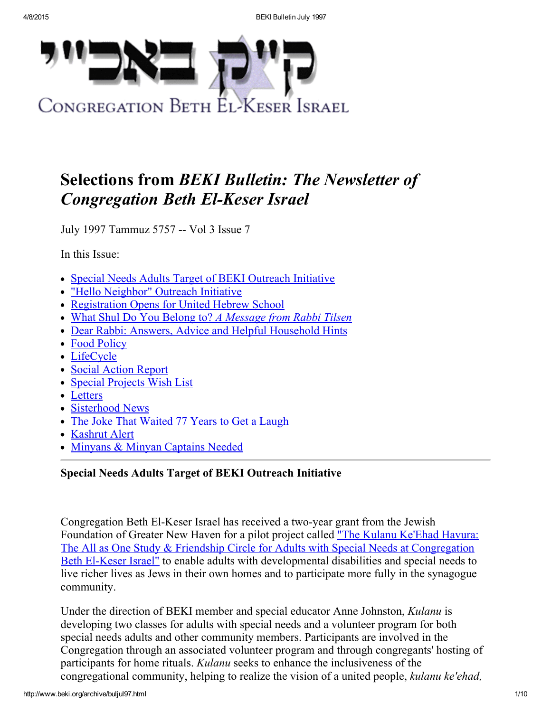

# Selections from BEKI Bulletin: The Newsletter of **Congregation Beth El-Keser Israel**

July 1997 Tammuz 5757 -- Vol 3 Issue 7

In this Issue:

- Special Needs Adults Target of BEKI [Outreach](#page-0-0) Initiative
- "Hello [Neighbor"](#page-1-0) Outreach Initiative
- [Registration](#page-3-0) Opens for United Hebrew School
- What Shul Do You Belong to? A [Message](#page-3-1) from Rabbi Tilsen
- Dear Rabbi: Answers, Advice and Helpful [Household](#page-4-0) Hints
- Food [Policy](#page-5-1)
- [LifeCycle](#page-5-0)
- Social [Action](#page-6-0) Report
- Special [Projects](#page-7-2) Wish List
- [Letters](#page-7-0)
- [Sisterhood](#page-7-1) News
- The Joke That [Waited](#page-8-0) 77 Years to Get a Laugh
- [Kashrut](#page-8-1) Alert
- Minyans & Minyan [Captains](#page-8-2) Needed

# <span id="page-0-0"></span>Special Needs Adults Target of BEKI Outreach Initiative

Congregation Beth El-Keser Israel has received a two-year grant from the Jewish Foundation of Greater New Haven for a pilot project called "The Kulanu Ke'Ehad Havura: The All as One Study & Friendship Circle for Adults with Special Needs at Congregation Beth El-Keser Israel" to enable adults with [developmental](http://www.beki.org/archive/kulanu.html) disabilities and special needs to live richer lives as Jews in their own homes and to participate more fully in the synagogue community.

Under the direction of BEKI member and special educator Anne Johnston, Kulanu is developing two classes for adults with special needs and a volunteer program for both special needs adults and other community members. Participants are involved in the Congregation through an associated volunteer program and through congregants' hosting of participants for home rituals. Kulanu seeks to enhance the inclusiveness of the congregational community, helping to realize the vision of a united people, kulanu ke'ehad,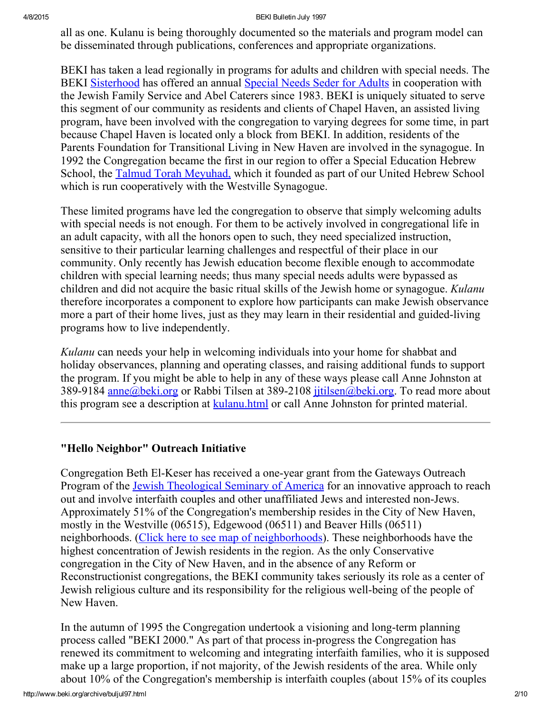all as one. Kulanu is being thoroughly documented so the materials and program model can be disseminated through publications, conferences and appropriate organizations.

BEKI has taken a lead regionally in programs for adults and children with special needs. The BEKI [Sisterhood](http://www.beki.org/archive/sisterhood.html) has offered an annual [Special](http://www.beki.org/archive/sisterhood.html#specialseder) Needs Seder for Adults in cooperation with the Jewish Family Service and Abel Caterers since 1983. BEKI is uniquely situated to serve this segment of our community as residents and clients of Chapel Haven, an assisted living program, have been involved with the congregation to varying degrees for some time, in part because Chapel Haven is located only a block from BEKI. In addition, residents of the Parents Foundation for Transitional Living in New Haven are involved in the synagogue. In 1992 the Congregation became the first in our region to offer a Special Education Hebrew School, the Talmud Torah [Meyuhad,](http://www.beki.org/archive/youth.html%20#UHS) which it founded as part of our United Hebrew School which is run cooperatively with the Westville Synagogue.

These limited programs have led the congregation to observe that simply welcoming adults with special needs is not enough. For them to be actively involved in congregational life in an adult capacity, with all the honors open to such, they need specialized instruction, sensitive to their particular learning challenges and respectful of their place in our community. Only recently has Jewish education become flexible enough to accommodate children with special learning needs; thus many special needs adults were bypassed as children and did not acquire the basic ritual skills of the Jewish home or synagogue. Kulanu therefore incorporates a component to explore how participants can make Jewish observance more a part of their home lives, just as they may learn in their residential and guided-living programs how to live independently.

Kulanu can needs your help in welcoming individuals into your home for shabbat and holiday observances, planning and operating classes, and raising additional funds to support the program. If you might be able to help in any of these ways please call Anne Johnston at 389-9184 [anne@beki.org](mailto:anne@beki.org) or Rabbi Tilsen at 389-2108 jitilsen@beki.org. To read more about this program see a description at [kulanu.html](http://www.beki.org/archive/kulanu.html) or call Anne Johnston for printed material.

# <span id="page-1-0"></span>"Hello Neighbor" Outreach Initiative

Congregation Beth El-Keser has received a one-year grant from the Gateways Outreach Program of the Jewish [Theological](http://www.beki.org/archive/www.jtsa.edu) Seminary of America for an innovative approach to reach out and involve interfaith couples and other unaffiliated Jews and interested non-Jews. Approximately 51% of the Congregation's membership resides in the City of New Haven, mostly in the Westville (06515), Edgewood (06511) and Beaver Hills (06511) neighborhoods. (Click here to see map of [neighborhoods\)](http://www.beki.org/archive/map.html). These neighborhoods have the highest concentration of Jewish residents in the region. As the only Conservative congregation in the City of New Haven, and in the absence of any Reform or Reconstructionist congregations, the BEKI community takes seriously its role as a center of Jewish religious culture and its responsibility for the religious well-being of the people of New Haven.

In the autumn of 1995 the Congregation undertook a visioning and long-term planning process called "BEKI 2000." As part of that process in-progress the Congregation has renewed its commitment to welcoming and integrating interfaith families, who it is supposed make up a large proportion, if not majority, of the Jewish residents of the area. While only about 10% of the Congregation's membership is interfaith couples (about 15% of its couples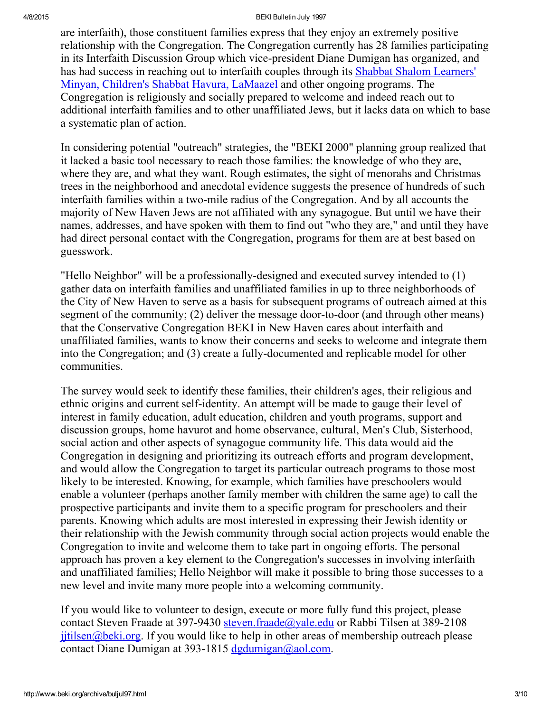4/8/2015 BEKI Bulletin July 1997

are interfaith), those constituent families express that they enjoy an extremely positive relationship with the Congregation. The Congregation currently has 28 families participating in its Interfaith Discussion Group which vice-president Diane Dumigan has organized, and has had success in reaching out to interfaith couples through its Shabbat Shalom Learners' Minyan, [Children's](http://www.beki.org/archive/adulted.html%20#sslearnersminyan) Shabbat Havura, [LaMaazel](http://www.beki.org/archive/lamaazel.html) and other ongoing programs. The Congregation is religiously and socially prepared to welcome and indeed reach out to additional interfaith families and to other unaffiliated Jews, but it lacks data on which to base a systematic plan of action.

In considering potential "outreach" strategies, the "BEKI 2000" planning group realized that it lacked a basic tool necessary to reach those families: the knowledge of who they are, where they are, and what they want. Rough estimates, the sight of menorahs and Christmas trees in the neighborhood and anecdotal evidence suggests the presence of hundreds of such interfaith families within a two-mile radius of the Congregation. And by all accounts the majority of New Haven Jews are not affiliated with any synagogue. But until we have their names, addresses, and have spoken with them to find out "who they are," and until they have had direct personal contact with the Congregation, programs for them are at best based on guesswork.

"Hello Neighbor" will be a professionally-designed and executed survey intended to  $(1)$ gather data on interfaith families and unaffiliated families in up to three neighborhoods of the City of New Haven to serve as a basis for subsequent programs of outreach aimed at this segment of the community; (2) deliver the message door-to-door (and through other means) that the Conservative Congregation BEKI in New Haven cares about interfaith and unaffiliated families, wants to know their concerns and seeks to welcome and integrate them into the Congregation; and (3) create a fully-documented and replicable model for other communities.

The survey would seek to identify these families, their children's ages, their religious and ethnic origins and current self-identity. An attempt will be made to gauge their level of interest in family education, adult education, children and youth programs, support and discussion groups, home havurot and home observance, cultural, Men's Club, Sisterhood, social action and other aspects of synagogue community life. This data would aid the Congregation in designing and prioritizing its outreach efforts and program development, and would allow the Congregation to target its particular outreach programs to those most likely to be interested. Knowing, for example, which families have preschoolers would enable a volunteer (perhaps another family member with children the same age) to call the prospective participants and invite them to a specific program for preschoolers and their parents. Knowing which adults are most interested in expressing their Jewish identity or their relationship with the Jewish community through social action projects would enable the Congregation to invite and welcome them to take part in ongoing efforts. The personal approach has proven a key element to the Congregation's successes in involving interfaith and unaffiliated families; Hello Neighbor will make it possible to bring those successes to a new level and invite many more people into a welcoming community.

If you would like to volunteer to design, execute or more fully fund this project, please contact Steven Fraade at 397-9430 [steven.fraade@yale.edu](mailto:steven.fraade@yale.edu) or Rabbi Tilsen at 389-2108  $j$  it ilsen  $\omega$  beki.org. If you would like to help in other areas of membership outreach please contact Diane Dumigan at 393-1815  $d$ gdumigan@aol.com.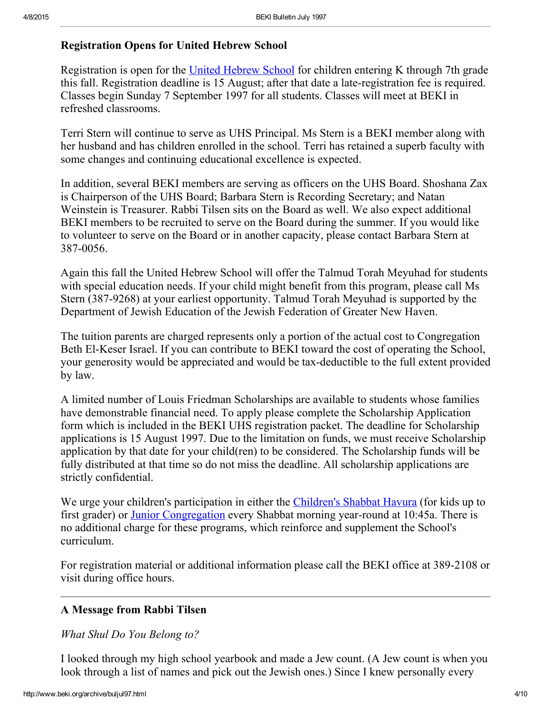### <span id="page-3-0"></span>Registration Opens for United Hebrew School

Registration is open for the United [Hebrew](http://www.beki.org/archive/youth.html%20#UHS) School for children entering K through 7th grade this fall. Registration deadline is 15 August; after that date a late-registration fee is required. Classes begin Sunday 7 September 1997 for all students. Classes will meet at BEKI in refreshed classrooms.

Terri Stern will continue to serve as UHS Principal. Ms Stern is a BEKI member along with her husband and has children enrolled in the school. Terri has retained a superb faculty with some changes and continuing educational excellence is expected.

In addition, several BEKI members are serving as officers on the UHS Board. Shoshana Zax is Chairperson of the UHS Board; Barbara Stern is Recording Secretary; and Natan Weinstein is Treasurer. Rabbi Tilsen sits on the Board as well. We also expect additional BEKI members to be recruited to serve on the Board during the summer. If you would like to volunteer to serve on the Board or in another capacity, please contact Barbara Stern at 387-0056.

Again this fall the United Hebrew School will offer the Talmud Torah Meyuhad for students with special education needs. If your child might benefit from this program, please call Ms Stern (387-9268) at your earliest opportunity. Talmud Torah Meyuhad is supported by the Department of Jewish Education of the Jewish Federation of Greater New Haven.

The tuition parents are charged represents only a portion of the actual cost to Congregation Beth El-Keser Israel. If you can contribute to BEKI toward the cost of operating the School, your generosity would be appreciated and would be tax-deductible to the full extent provided by law.

A limited number of Louis Friedman Scholarships are available to students whose families have demonstrable financial need. To apply please complete the Scholarship Application form which is included in the BEKI UHS registration packet. The deadline for Scholarship applications is 15 August 1997. Due to the limitation on funds, we must receive Scholarship application by that date for your child(ren) to be considered. The Scholarship funds will be fully distributed at that time so do not miss the deadline. All scholarship applications are strictly confidential.

We urge your children's participation in either the [Children's](http://www.beki.org/archive/youth.html%20#cshavura) Shabbat Havura (for kids up to first grader) or Junior [Congregation](http://www.beki.org/archive/youth.html%20#junior) every Shabbat morning year-round at 10:45a. There is no additional charge for these programs, which reinforce and supplement the School's curriculum.

For registration material or additional information please call the BEKI office at 389-2108 or visit during office hours.

# <span id="page-3-1"></span>A Message from Rabbi Tilsen

#### What Shul Do You Belong to?

I looked through my high school yearbook and made a Jew count. (A Jew count is when you look through a list of names and pick out the Jewish ones.) Since I knew personally every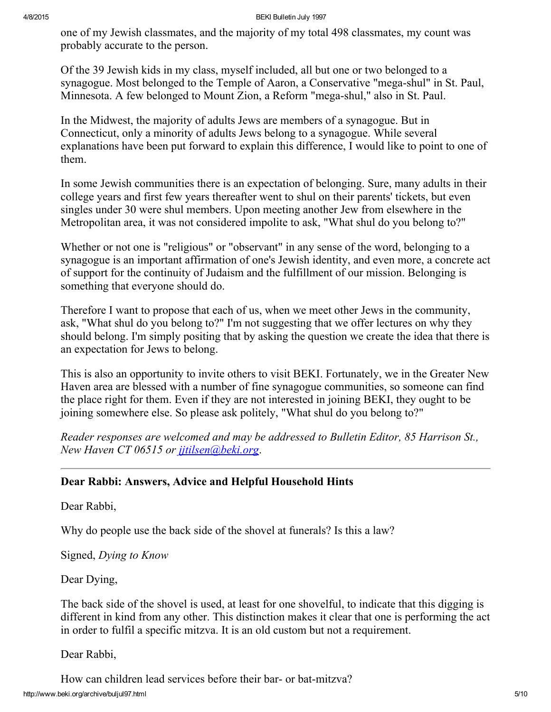one of my Jewish classmates, and the majority of my total 498 classmates, my count was probably accurate to the person.

Of the 39 Jewish kids in my class, myself included, all but one or two belonged to a synagogue. Most belonged to the Temple of Aaron, a Conservative "mega-shul" in St. Paul, Minnesota. A few belonged to Mount Zion, a Reform "mega-shul," also in St. Paul.

In the Midwest, the majority of adults Jews are members of a synagogue. But in Connecticut, only a minority of adults Jews belong to a synagogue. While several explanations have been put forward to explain this difference, I would like to point to one of them.

In some Jewish communities there is an expectation of belonging. Sure, many adults in their college years and first few years thereafter went to shul on their parents' tickets, but even singles under 30 were shul members. Upon meeting another Jew from elsewhere in the Metropolitan area, it was not considered impolite to ask, "What shul do you belong to?"

Whether or not one is "religious" or "observant" in any sense of the word, belonging to a synagogue is an important affirmation of one's Jewish identity, and even more, a concrete act of support for the continuity of Judaism and the fulfillment of our mission. Belonging is something that everyone should do.

Therefore I want to propose that each of us, when we meet other Jews in the community, ask, "What shul do you belong to?" I'm not suggesting that we offer lectures on why they should belong. I'm simply positing that by asking the question we create the idea that there is an expectation for Jews to belong.

This is also an opportunity to invite others to visit BEKI. Fortunately, we in the Greater New Haven area are blessed with a number of fine synagogue communities, so someone can find the place right for them. Even if they are not interested in joining BEKI, they ought to be joining somewhere else. So please ask politely, "What shul do you belong to?"

Reader responses are welcomed and may be addressed to Bulletin Editor, 85 Harrison St., New Haven CT 06515 or jitilsen@beki.org.

# <span id="page-4-0"></span>Dear Rabbi: Answers, Advice and Helpful Household Hints

Dear Rabbi,

Why do people use the back side of the shovel at funerals? Is this a law?

Signed, Dying to Know

Dear Dying,

The back side of the shovel is used, at least for one shovelful, to indicate that this digging is different in kind from any other. This distinction makes it clear that one is performing the act in order to fulfil a specific mitzva. It is an old custom but not a requirement.

Dear Rabbi,

http://www.beki.org/archive/buljul97.html 5/10 How can children lead services before their bar- or bat-mitzva?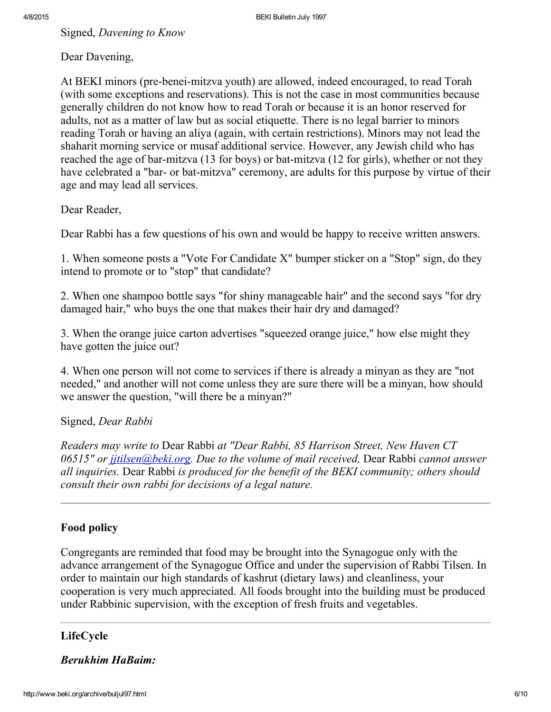Signed, Davening to Know

Dear Davening,

At BEKI minors (pre-benei-mitzva youth) are allowed, indeed encouraged, to read Torah (with some exceptions and reservations). This is not the case in most communities because generally children do not know how to read Torah or because it is an honor reserved for adults, not as a matter of law but as social etiquette. There is no legal barrier to minors reading Torah or having an aliya (again, with certain restrictions). Minors may not lead the shaharit morning service or musaf additional service. However, any Jewish child who has reached the age of bar-mitzva (13 for boys) or bat-mitzva (12 for girls), whether or not they have celebrated a "bar- or bat-mitzva" ceremony, are adults for this purpose by virtue of their age and may lead all services.

Dear Reader,

Dear Rabbi has a few questions of his own and would be happy to receive written answers.

1. When someone posts a "Vote For Candidate X" bumper sticker on a "Stop" sign, do they intend to promote or to "stop" that candidate?

2. When one shampoo bottle says "for shiny manageable hair" and the second says "for dry damaged hair," who buys the one that makes their hair dry and damaged?

3. When the orange juice carton advertises "squeezed orange juice," how else might they have gotten the juice out?

4. When one person will not come to services if there is already a minyan as they are "not needed," and another will not come unless they are sure there will be a minyan, how should we answer the question, "will there be a minyan?"

# Signed, Dear Rabbi

Readers may write to Dear Rabbi at "Dear Rabbi, 85 Harrison Street, New Haven CT 06515" or *jitilsen@beki.org*. Due to the volume of mail received, Dear Rabbi cannot answer all inquiries. Dear Rabbi is produced for the benefit of the BEKI community; others should consult their own rabbi for decisions of a legal nature.

# <span id="page-5-1"></span>Food policy

Congregants are reminded that food may be brought into the Synagogue only with the advance arrangement of the Synagogue Office and under the supervision of Rabbi Tilsen. In order to maintain our high standards of kashrut (dietary laws) and cleanliness, your cooperation is very much appreciated. All foods brought into the building must be produced under Rabbinic supervision, with the exception of fresh fruits and vegetables.

# <span id="page-5-0"></span>LifeCycle

# Berukhim HaBaim: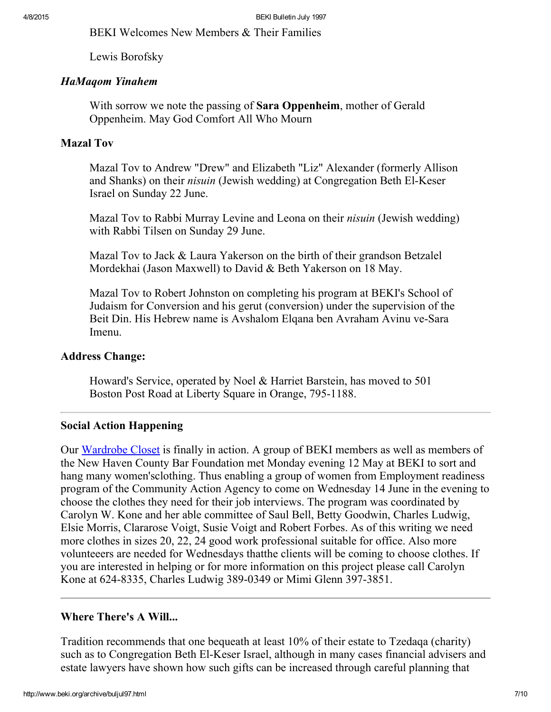BEKI Welcomes New Members & Their Families

Lewis Borofsky

#### HaMaqom Yinahem

With sorrow we note the passing of **Sara Oppenheim**, mother of Gerald Oppenheim. May God Comfort All Who Mourn

#### Mazal Tov

Mazal Tov to Andrew "Drew" and Elizabeth "Liz" Alexander (formerly Allison and Shanks) on their *nisuin* (Jewish wedding) at Congregation Beth El-Keser Israel on Sunday 22 June.

Mazal Tov to Rabbi Murray Levine and Leona on their nisuin (Jewish wedding) with Rabbi Tilsen on Sunday 29 June.

Mazal Tov to Jack & Laura Yakerson on the birth of their grandson Betzalel Mordekhai (Jason Maxwell) to David & Beth Yakerson on 18 May.

Mazal Tov to Robert Johnston on completing his program at BEKI's School of Judaism for Conversion and his gerut (conversion) under the supervision of the Beit Din. His Hebrew name is Avshalom Elqana ben Avraham Avinu ve-Sara Imenu.

#### Address Change:

Howard's Service, operated by Noel & Harriet Barstein, has moved to 501 Boston Post Road at Liberty Square in Orange, 795-1188.

#### <span id="page-6-0"></span>Social Action Happening

Our [Wardrobe](http://www.beki.org/archive/tiqunola.html%20#wardrobe) Closet is finally in action. A group of BEKI members as well as members of the New Haven County Bar Foundation met Monday evening 12 May at BEKI to sort and hang many women'sclothing. Thus enabling a group of women from Employment readiness program of the Community Action Agency to come on Wednesday 14 June in the evening to choose the clothes they need for their job interviews. The program was coordinated by Carolyn W. Kone and her able committee of Saul Bell, Betty Goodwin, Charles Ludwig, Elsie Morris, Clararose Voigt, Susie Voigt and Robert Forbes. As of this writing we need more clothes in sizes 20, 22, 24 good work professional suitable for office. Also more volunteeers are needed for Wednesdays thatthe clients will be coming to choose clothes. If you are interested in helping or for more information on this project please call Carolyn Kone at 624-8335, Charles Ludwig 389-0349 or Mimi Glenn 397-3851.

# Where There's A Will...

Tradition recommends that one bequeath at least 10% of their estate to Tzedaqa (charity) such as to Congregation Beth El-Keser Israel, although in many cases financial advisers and estate lawyers have shown how such gifts can be increased through careful planning that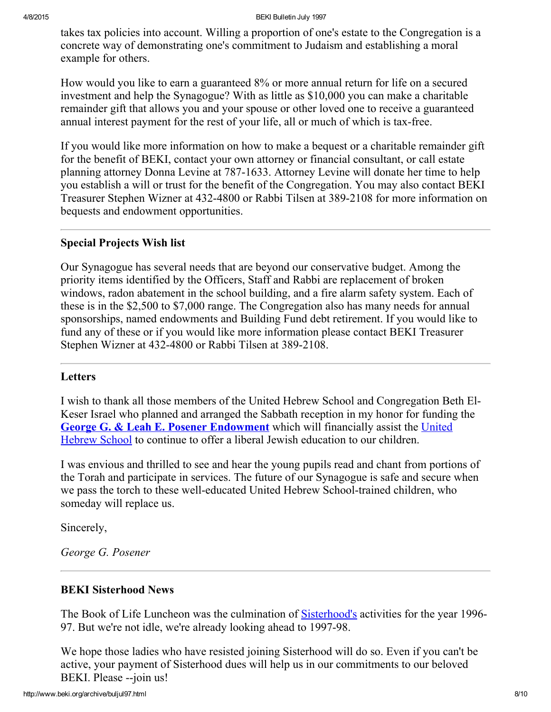#### 4/8/2015 BEKI Bulletin July 1997

takes tax policies into account. Willing a proportion of one's estate to the Congregation is a concrete way of demonstrating one's commitment to Judaism and establishing a moral example for others.

How would you like to earn a guaranteed 8% or more annual return for life on a secured investment and help the Synagogue? With as little as \$10,000 you can make a charitable remainder gift that allows you and your spouse or other loved one to receive a guaranteed annual interest payment for the rest of your life, all or much of which is tax-free.

If you would like more information on how to make a bequest or a charitable remainder gift for the benefit of BEKI, contact your own attorney or financial consultant, or call estate planning attorney Donna Levine at 787-1633. Attorney Levine will donate her time to help you establish a will or trust for the benefit of the Congregation. You may also contact BEKI Treasurer Stephen Wizner at 432-4800 or Rabbi Tilsen at 389-2108 for more information on bequests and endowment opportunities.

#### <span id="page-7-2"></span>Special Projects Wish list

Our Synagogue has several needs that are beyond our conservative budget. Among the priority items identified by the Officers, Staff and Rabbi are replacement of broken windows, radon abatement in the school building, and a fire alarm safety system. Each of these is in the \$2,500 to \$7,000 range. The Congregation also has many needs for annual sponsorships, named endowments and Building Fund debt retirement. If you would like to fund any of these or if you would like more information please contact BEKI Treasurer Stephen Wizner at 432-4800 or Rabbi Tilsen at 389-2108.

#### <span id="page-7-0"></span>**Letters**

I wish to thank all those members of the United Hebrew School and Congregation Beth El-Keser Israel who planned and arranged the Sabbath reception in my honor for funding the George G. & Leah E. Posener [Endowment](http://www.beki.org/archive/youth.html%20#UHS) which will financially assist the United Hebrew School to continue to offer a liberal Jewish education to our children.

I was envious and thrilled to see and hear the young pupils read and chant from portions of the Torah and participate in services. The future of our Synagogue is safe and secure when we pass the torch to these well-educated United Hebrew School-trained children, who someday will replace us.

Sincerely,

George G. Posener

# <span id="page-7-1"></span>BEKI Sisterhood News

The Book of Life Luncheon was the culmination of [Sisterhood's](http://www.beki.org/archive/sisterhood.html) activities for the year 1996-97. But we're not idle, we're already looking ahead to 1997-98.

We hope those ladies who have resisted joining Sisterhood will do so. Even if you can't be active, your payment of Sisterhood dues will help us in our commitments to our beloved BEKI. Please --join us!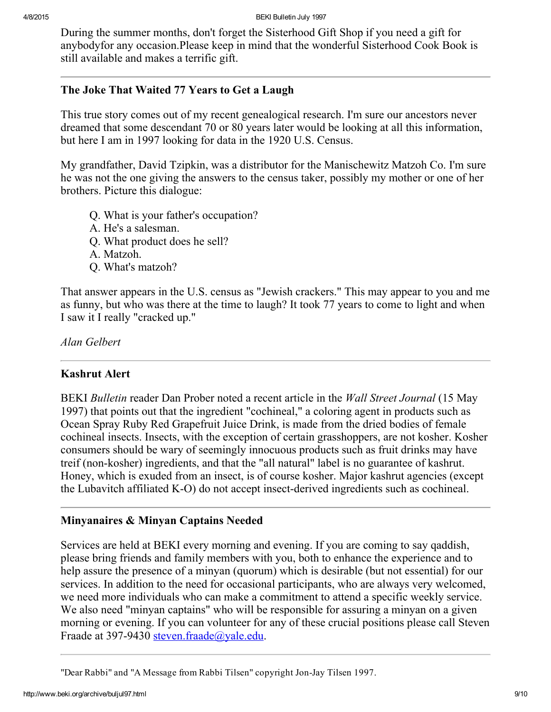During the summer months, don't forget the Sisterhood Gift Shop if you need a gift for anybodyfor any occasion.Please keep in mind that the wonderful Sisterhood Cook Book is still available and makes a terrific gift.

#### <span id="page-8-0"></span>The Joke That Waited 77 Years to Get a Laugh

This true story comes out of my recent genealogical research. I'm sure our ancestors never dreamed that some descendant 70 or 80 years later would be looking at all this information, but here I am in 1997 looking for data in the 1920 U.S. Census.

My grandfather, David Tzipkin, was a distributor for the Manischewitz Matzoh Co. I'm sure he was not the one giving the answers to the census taker, possibly my mother or one of her brothers. Picture this dialogue:

- Q. What is your father's occupation?
- A. He's a salesman.
- Q. What product does he sell?
- A. Matzoh.
- Q. What's matzoh?

That answer appears in the U.S. census as "Jewish crackers." This may appear to you and me as funny, but who was there at the time to laugh? It took 77 years to come to light and when I saw it I really "cracked up."

Alan Gelbert

#### <span id="page-8-1"></span>Kashrut Alert

BEKI Bulletin reader Dan Prober noted a recent article in the Wall Street Journal (15 May 1997) that points out that the ingredient "cochineal," a coloring agent in products such as Ocean Spray Ruby Red Grapefruit Juice Drink, is made from the dried bodies of female cochineal insects. Insects, with the exception of certain grasshoppers, are not kosher. Kosher consumers should be wary of seemingly innocuous products such as fruit drinks may have treif (non-kosher) ingredients, and that the "all natural" label is no guarantee of kashrut. Honey, which is exuded from an insect, is of course kosher. Major kashrut agencies (except the Lubavitch affiliated  $K-O$ ) do not accept insect-derived ingredients such as cochineal.

# <span id="page-8-2"></span>Minyanaires & Minyan Captains Needed

Services are held at BEKI every morning and evening. If you are coming to say qaddish, please bring friends and family members with you, both to enhance the experience and to help assure the presence of a minyan (quorum) which is desirable (but not essential) for our services. In addition to the need for occasional participants, who are always very welcomed, we need more individuals who can make a commitment to attend a specific weekly service. We also need "minyan captains" who will be responsible for assuring a minyan on a given morning or evening. If you can volunteer for any of these crucial positions please call Steven Fraade at 397-9430 [steven.fraade@yale.edu](mailto:steven.fraade@yale.edu).

<sup>&</sup>quot;Dear Rabbi" and "A Message from Rabbi Tilsen" copyright Jon-Jay Tilsen 1997.